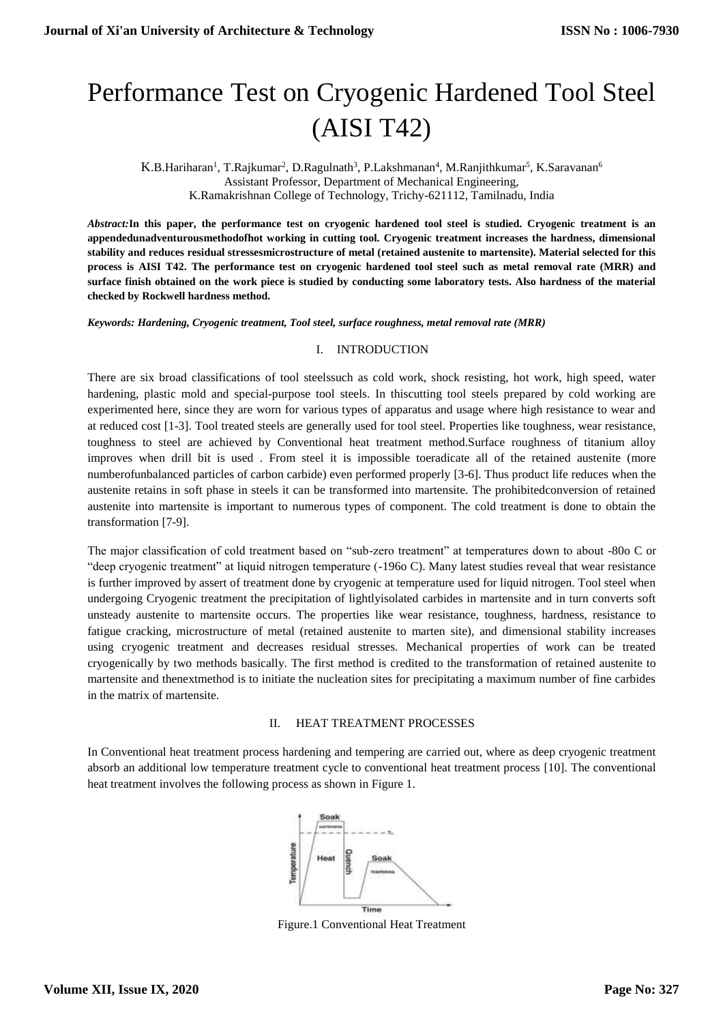# Performance Test on Cryogenic Hardened Tool Steel (AISI T42)

 $K.B.Hariharan<sup>1</sup>, T.Rajkumar<sup>2</sup>, D.Ragulnath<sup>3</sup>, P.Lakshmanan<sup>4</sup>, M.Ranjithkumar<sup>5</sup>, K.Saravanan<sup>6</sup>$ Assistant Professor, Department of Mechanical Engineering, K.Ramakrishnan College of Technology, Trichy-621112, Tamilnadu, India

*Abstract:***In this paper, the performance test on cryogenic hardened tool steel is studied. Cryogenic treatment is an appendedunadventurousmethodofhot working in cutting tool. Cryogenic treatment increases the hardness, dimensional stability and reduces residual stressesmicrostructure of metal (retained austenite to martensite). Material selected for this process is AISI T42. The performance test on cryogenic hardened tool steel such as metal removal rate (MRR) and surface finish obtained on the work piece is studied by conducting some laboratory tests. Also hardness of the material checked by Rockwell hardness method.**

*Keywords: Hardening, Cryogenic treatment, Tool steel, surface roughness, metal removal rate (MRR)*

#### I. INTRODUCTION

There are six broad classifications of tool steelssuch as cold work, shock resisting, hot work, high speed, water hardening, plastic mold and special-purpose tool steels. In thiscutting tool steels prepared by cold working are experimented here, since they are worn for various types of apparatus and usage where high resistance to wear and at reduced cost [1-3]. Tool treated steels are generally used for tool steel. Properties like toughness, wear resistance, toughness to steel are achieved by Conventional heat treatment method.Surface roughness of titanium alloy improves when drill bit is used . From steel it is impossible toeradicate all of the retained austenite (more numberofunbalanced particles of carbon carbide) even performed properly [3-6]. Thus product life reduces when the austenite retains in soft phase in steels it can be transformed into martensite. The prohibitedconversion of retained austenite into martensite is important to numerous types of component. The cold treatment is done to obtain the transformation [7-9].

The major classification of cold treatment based on "sub-zero treatment" at temperatures down to about -80o C or "deep cryogenic treatment" at liquid nitrogen temperature (-196o C). Many latest studies reveal that wear resistance is further improved by assert of treatment done by cryogenic at temperature used for liquid nitrogen. Tool steel when undergoing Cryogenic treatment the precipitation of lightlyisolated carbides in martensite and in turn converts soft unsteady austenite to martensite occurs. The properties like wear resistance, toughness, hardness, resistance to fatigue cracking, microstructure of metal (retained austenite to marten site), and dimensional stability increases using cryogenic treatment and decreases residual stresses. Mechanical properties of work can be treated cryogenically by two methods basically. The first method is credited to the transformation of retained austenite to martensite and thenextmethod is to initiate the nucleation sites for precipitating a maximum number of fine carbides in the matrix of martensite.

## II. HEAT TREATMENT PROCESSES

In Conventional heat treatment process hardening and tempering are carried out, where as deep cryogenic treatment absorb an additional low temperature treatment cycle to conventional heat treatment process [10]. The conventional heat treatment involves the following process as shown in Figure 1.



Figure.1 Conventional Heat Treatment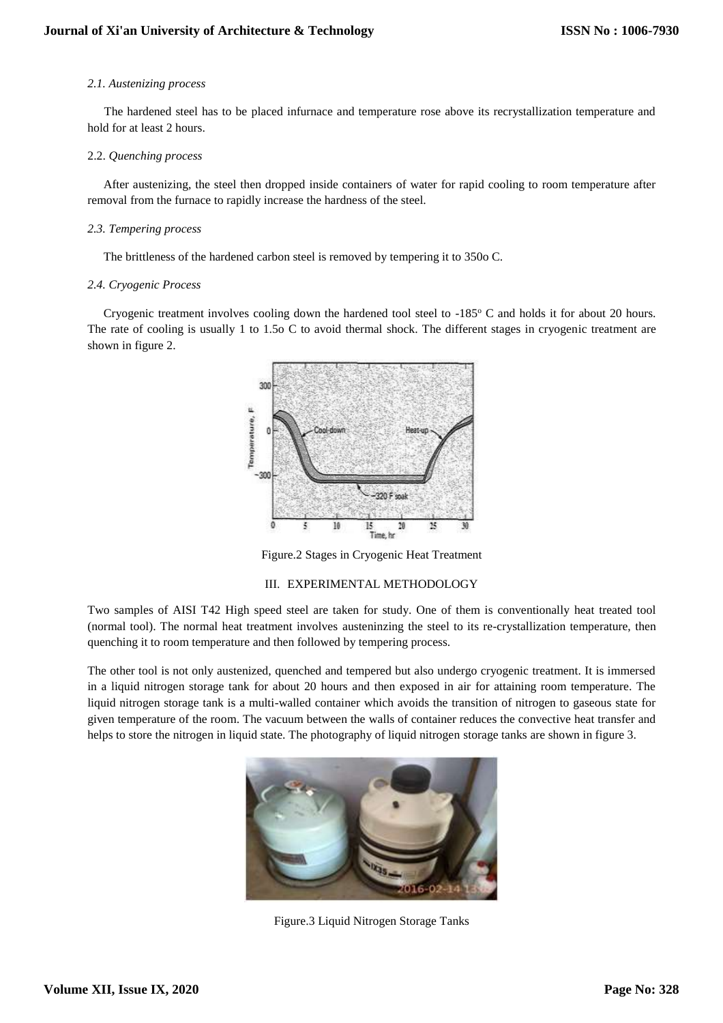## *2.1. Austenizing process*

The hardened steel has to be placed infurnace and temperature rose above its recrystallization temperature and hold for at least 2 hours.

#### 2.2. *Quenching process*

After austenizing, the steel then dropped inside containers of water for rapid cooling to room temperature after removal from the furnace to rapidly increase the hardness of the steel.

#### *2.3. Tempering process*

The brittleness of the hardened carbon steel is removed by tempering it to 350o C.

#### *2.4. Cryogenic Process*

Cryogenic treatment involves cooling down the hardened tool steel to  $-185^\circ$  C and holds it for about 20 hours. The rate of cooling is usually 1 to 1.5o C to avoid thermal shock. The different stages in cryogenic treatment are shown in figure 2.



Figure.2 Stages in Cryogenic Heat Treatment

## III. EXPERIMENTAL METHODOLOGY

Two samples of AISI T42 High speed steel are taken for study. One of them is conventionally heat treated tool (normal tool). The normal heat treatment involves austeninzing the steel to its re-crystallization temperature, then quenching it to room temperature and then followed by tempering process.

The other tool is not only austenized, quenched and tempered but also undergo cryogenic treatment. It is immersed in a liquid nitrogen storage tank for about 20 hours and then exposed in air for attaining room temperature. The liquid nitrogen storage tank is a multi-walled container which avoids the transition of nitrogen to gaseous state for given temperature of the room. The vacuum between the walls of container reduces the convective heat transfer and helps to store the nitrogen in liquid state. The photography of liquid nitrogen storage tanks are shown in figure 3.



Figure.3 Liquid Nitrogen Storage Tanks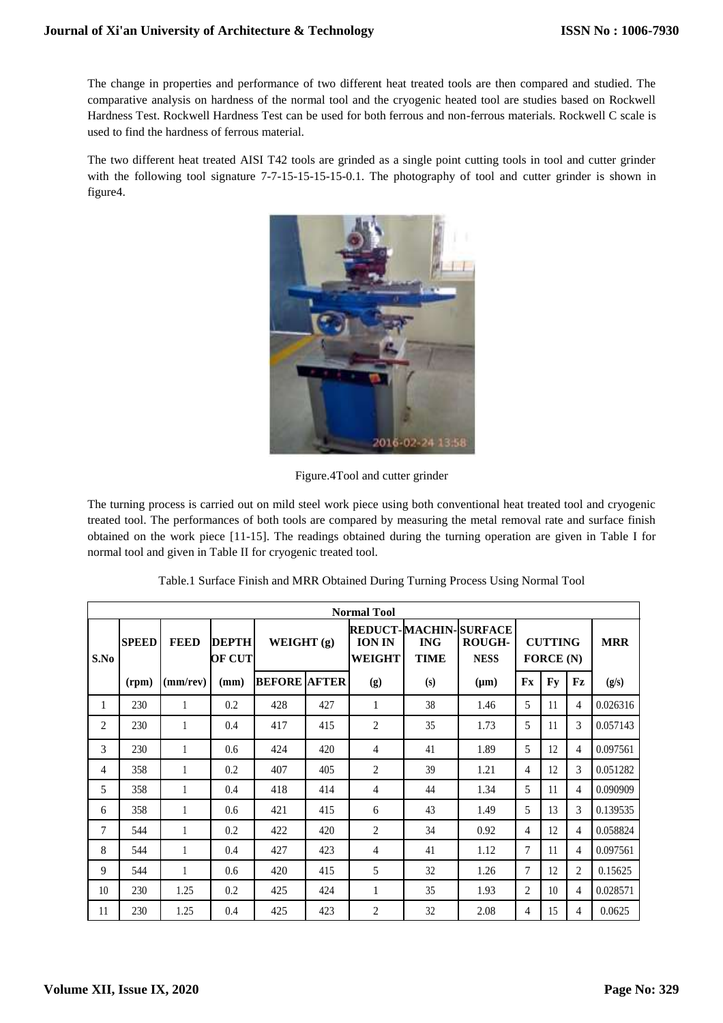The change in properties and performance of two different heat treated tools are then compared and studied. The comparative analysis on hardness of the normal tool and the cryogenic heated tool are studies based on Rockwell Hardness Test. Rockwell Hardness Test can be used for both ferrous and non-ferrous materials. Rockwell C scale is used to find the hardness of ferrous material.

The two different heat treated AISI T42 tools are grinded as a single point cutting tools in tool and cutter grinder with the following tool signature 7-7-15-15-15-15-0.1. The photography of tool and cutter grinder is shown in figure4.



Figure.4Tool and cutter grinder

The turning process is carried out on mild steel work piece using both conventional heat treated tool and cryogenic treated tool. The performances of both tools are compared by measuring the metal removal rate and surface finish obtained on the work piece [11-15]. The readings obtained during the turning operation are given in Table I for normal tool and given in Table II for cryogenic treated tool.

|                | <b>Normal Tool</b> |             |                        |                     |                                                                                                                               |     |                               |           |                |            |                |          |  |
|----------------|--------------------|-------------|------------------------|---------------------|-------------------------------------------------------------------------------------------------------------------------------|-----|-------------------------------|-----------|----------------|------------|----------------|----------|--|
| S.No           | <b>SPEED</b>       | <b>FEED</b> | <b>DEPTH</b><br>OF CUT |                     | <b>REDUCT-MACHIN-SURFACE</b><br>WEIGHT $(g)$<br>ROUGH-<br><b>ION IN</b><br><b>ING</b><br>WEIGHT<br><b>NESS</b><br><b>TIME</b> |     | <b>CUTTING</b><br>FORCE $(N)$ |           |                | <b>MRR</b> |                |          |  |
|                | (rpm)              | (mm/rev)    | (mm)                   | <b>BEFORE AFTER</b> |                                                                                                                               | (g) | (s)                           | $(\mu m)$ | Fx             | Fy         | Fz             | (g/s)    |  |
| 1              | 230                | 1           | 0.2                    | 428                 | 427                                                                                                                           | 1   | 38                            | 1.46      | 5              | 11         | 4              | 0.026316 |  |
| 2              | 230                |             | 0.4                    | 417                 | 415                                                                                                                           | 2   | 35                            | 1.73      | 5              | 11         | 3              | 0.057143 |  |
| $\mathcal{R}$  | 230                |             | 0.6                    | 424                 | 420                                                                                                                           | 4   | 41                            | 1.89      | 5              | 12         | 4              | 0.097561 |  |
| $\overline{4}$ | 358                | 1           | 0.2                    | 407                 | 405                                                                                                                           | 2   | 39                            | 1.21      | 4              | 12         | 3              | 0.051282 |  |
| 5              | 358                | 1           | 0.4                    | 418                 | 414                                                                                                                           | 4   | 44                            | 1.34      | 5              | 11         | 4              | 0.090909 |  |
| 6              | 358                |             | 0.6                    | 421                 | 415                                                                                                                           | 6   | 43                            | 1.49      | 5              | 13         | 3              | 0.139535 |  |
| 7              | 544                | 1           | 0.2                    | 422                 | 420                                                                                                                           | 2   | 34                            | 0.92      | 4              | 12         | 4              | 0.058824 |  |
| 8              | 544                | 1           | 0.4                    | 427                 | 423                                                                                                                           | 4   | 41                            | 1.12      | 7              | 11         | 4              | 0.097561 |  |
| 9              | 544                | 1           | 0.6                    | 420                 | 415                                                                                                                           | 5   | 32                            | 1.26      | 7              | 12         | $\overline{c}$ | 0.15625  |  |
| 10             | 230                | 1.25        | 0.2                    | 425                 | 424                                                                                                                           | 1   | 35                            | 1.93      | $\overline{c}$ | 10         | 4              | 0.028571 |  |
| 11             | 230                | 1.25        | 0.4                    | 425                 | 423                                                                                                                           | 2   | 32                            | 2.08      | 4              | 15         | 4              | 0.0625   |  |

Table.1 Surface Finish and MRR Obtained During Turning Process Using Normal Tool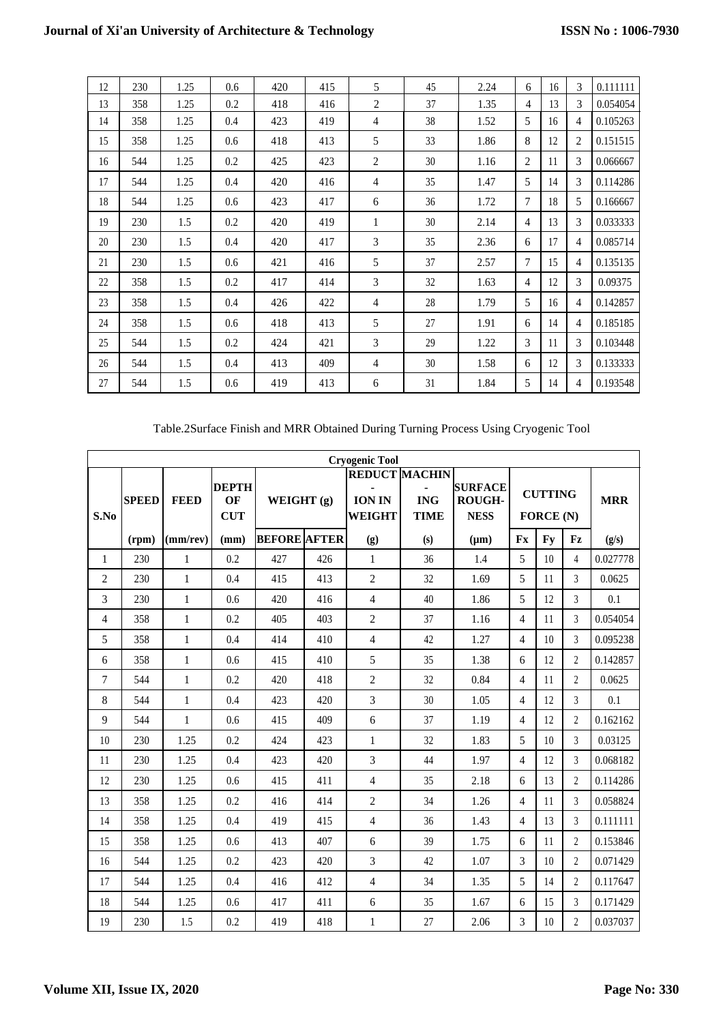| 12 | 230 | 1.25 | 0.6 | 420 | 415 | 5              | 45 | 2.24 | 6 | 16 | 3 | 0.111111 |
|----|-----|------|-----|-----|-----|----------------|----|------|---|----|---|----------|
| 13 | 358 | 1.25 | 0.2 | 418 | 416 | 2              | 37 | 1.35 | 4 | 13 | 3 | 0.054054 |
| 14 | 358 | 1.25 | 0.4 | 423 | 419 | 4              | 38 | 1.52 | 5 | 16 | 4 | 0.105263 |
| 15 | 358 | 1.25 | 0.6 | 418 | 413 | 5              | 33 | 1.86 | 8 | 12 | 2 | 0.151515 |
| 16 | 544 | 1.25 | 0.2 | 425 | 423 | $\overline{2}$ | 30 | 1.16 | 2 | 11 | 3 | 0.066667 |
| 17 | 544 | 1.25 | 0.4 | 420 | 416 | 4              | 35 | 1.47 | 5 | 14 | 3 | 0.114286 |
| 18 | 544 | 1.25 | 0.6 | 423 | 417 | 6              | 36 | 1.72 | 7 | 18 | 5 | 0.166667 |
| 19 | 230 | 1.5  | 0.2 | 420 | 419 | 1              | 30 | 2.14 | 4 | 13 | 3 | 0.033333 |
| 20 | 230 | 1.5  | 0.4 | 420 | 417 | 3              | 35 | 2.36 | 6 | 17 | 4 | 0.085714 |
| 21 | 230 | 1.5  | 0.6 | 421 | 416 | 5              | 37 | 2.57 | 7 | 15 | 4 | 0.135135 |
| 22 | 358 | 1.5  | 0.2 | 417 | 414 | 3              | 32 | 1.63 | 4 | 12 | 3 | 0.09375  |
| 23 | 358 | 1.5  | 0.4 | 426 | 422 | 4              | 28 | 1.79 | 5 | 16 | 4 | 0.142857 |
| 24 | 358 | 1.5  | 0.6 | 418 | 413 | 5              | 27 | 1.91 | 6 | 14 | 4 | 0.185185 |
| 25 | 544 | 1.5  | 0.2 | 424 | 421 | 3              | 29 | 1.22 | 3 | 11 | 3 | 0.103448 |
| 26 | 544 | 1.5  | 0.4 | 413 | 409 | 4              | 30 | 1.58 | 6 | 12 | 3 | 0.133333 |
| 27 | 544 | 1.5  | 0.6 | 419 | 413 | 6              | 31 | 1.84 | 5 | 14 | 4 | 0.193548 |

Table.2Surface Finish and MRR Obtained During Turning Process Using Cryogenic Tool

|                | <b>Cryogenic Tool</b> |                |                                  |                     |            |                |                                                   |                                                |                                    |           |                |            |  |
|----------------|-----------------------|----------------|----------------------------------|---------------------|------------|----------------|---------------------------------------------------|------------------------------------------------|------------------------------------|-----------|----------------|------------|--|
| S.No           | <b>SPEED</b>          | <b>FEED</b>    | <b>DEPTH</b><br>OF<br><b>CUT</b> |                     | WEIGHT (g) |                | <b>REDUCT MACHIN</b><br><b>ING</b><br><b>TIME</b> | <b>SURFACE</b><br><b>ROUGH-</b><br><b>NESS</b> | <b>CUTTING</b><br><b>FORCE</b> (N) |           |                | <b>MRR</b> |  |
|                | (rpm)                 | $(mm$ /rev $)$ | (mm)                             | <b>BEFORE AFTER</b> |            | (g)            | (s)                                               | $(\mu m)$                                      | Fx                                 | <b>Fy</b> | Fz             | (g/s)      |  |
| 1              | 230                   | $\mathbf{1}$   | 0.2                              | 427                 | 426        | $\mathbf{1}$   | 36                                                | 1.4                                            | 5                                  | 10        | 4              | 0.027778   |  |
| $\overline{c}$ | 230                   | $\mathbf{1}$   | 0.4                              | 415                 | 413        | $\overline{2}$ | 32                                                | 1.69                                           | 5                                  | 11        | 3              | 0.0625     |  |
| 3              | 230                   | $\mathbf{1}$   | 0.6                              | 420                 | 416        | $\overline{4}$ | 40                                                | 1.86                                           | 5                                  | 12        | 3              | 0.1        |  |
| 4              | 358                   | 1              | 0.2                              | 405                 | 403        | $\overline{2}$ | 37                                                | 1.16                                           | $\overline{4}$                     | 11        | 3              | 0.054054   |  |
| 5              | 358                   | $\mathbf{1}$   | 0.4                              | 414                 | 410        | $\overline{4}$ | 42                                                | 1.27                                           | $\overline{4}$                     | 10        | 3              | 0.095238   |  |
| 6              | 358                   | $\mathbf{1}$   | 0.6                              | 415                 | 410        | 5              | 35                                                | 1.38                                           | 6                                  | 12        | $\overline{2}$ | 0.142857   |  |
| 7              | 544                   | $\mathbf{1}$   | 0.2                              | 420                 | 418        | $\overline{2}$ | 32                                                | 0.84                                           | $\overline{4}$                     | 11        | $\overline{2}$ | 0.0625     |  |
| 8              | 544                   | $\mathbf{1}$   | 0.4                              | 423                 | 420        | 3              | 30                                                | 1.05                                           | $\overline{4}$                     | 12        | 3              | 0.1        |  |
| 9              | 544                   | $\mathbf{1}$   | 0.6                              | 415                 | 409        | 6              | 37                                                | 1.19                                           | $\overline{4}$                     | 12        | $\overline{2}$ | 0.162162   |  |
| 10             | 230                   | 1.25           | 0.2                              | 424                 | 423        | 1              | 32                                                | 1.83                                           | 5                                  | 10        | $\mathcal{E}$  | 0.03125    |  |
| 11             | 230                   | 1.25           | 0.4                              | 423                 | 420        | $\overline{3}$ | 44                                                | 1.97                                           | $\overline{4}$                     | 12        | 3              | 0.068182   |  |
| 12             | 230                   | 1.25           | 0.6                              | 415                 | 411        | 4              | 35                                                | 2.18                                           | 6                                  | 13        | $\overline{c}$ | 0.114286   |  |
| 13             | 358                   | 1.25           | 0.2                              | 416                 | 414        | $\overline{2}$ | 34                                                | 1.26                                           | $\overline{4}$                     | 11        | 3              | 0.058824   |  |
| 14             | 358                   | 1.25           | 0.4                              | 419                 | 415        | $\overline{4}$ | 36                                                | 1.43                                           | $\overline{4}$                     | 13        | 3              | 0.111111   |  |
| 15             | 358                   | 1.25           | 0.6                              | 413                 | 407        | 6              | 39                                                | 1.75                                           | 6                                  | 11        | $\overline{2}$ | 0.153846   |  |
| 16             | 544                   | 1.25           | 0.2                              | 423                 | 420        | 3              | 42                                                | 1.07                                           | 3                                  | 10        | $\mathfrak{D}$ | 0.071429   |  |
| 17             | 544                   | 1.25           | 0.4                              | 416                 | 412        | $\overline{4}$ | 34                                                | 1.35                                           | 5                                  | 14        | $\overline{2}$ | 0.117647   |  |
| 18             | 544                   | 1.25           | 0.6                              | 417                 | 411        | 6              | 35                                                | 1.67                                           | 6                                  | 15        | 3              | 0.171429   |  |
| 19             | 230                   | 1.5            | 0.2                              | 419                 | 418        | 1              | 27                                                | 2.06                                           | 3                                  | 10        | $\overline{2}$ | 0.037037   |  |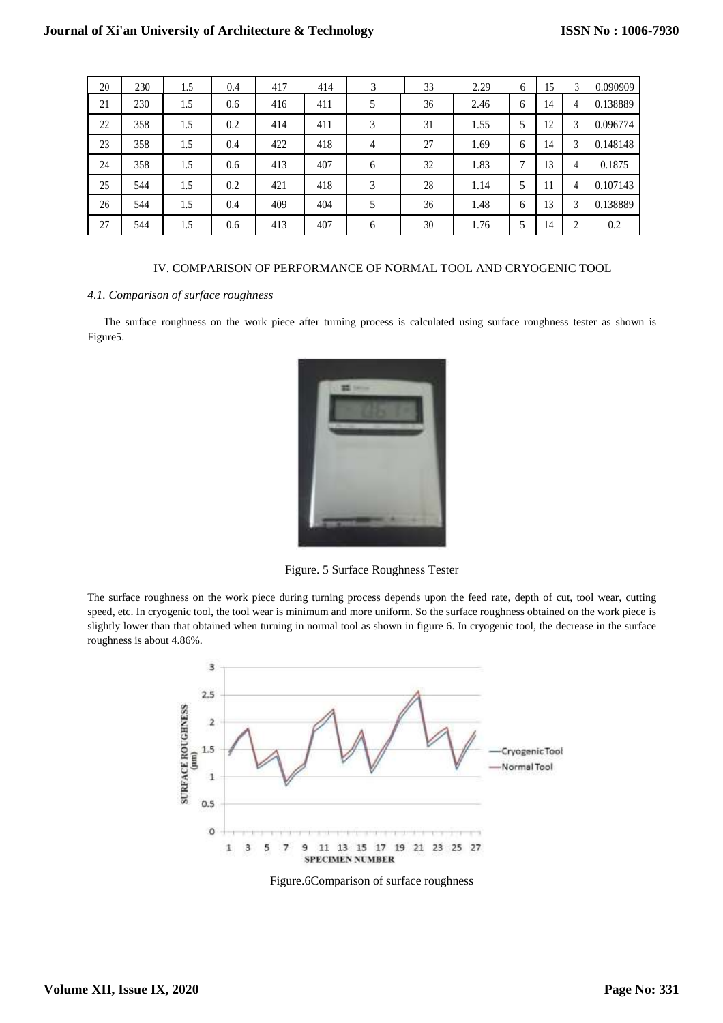| 20 | 230 | 1.5 | 0.4 | 417 | 414 | 3              | 33 | 2.29 | 6 | 15 | 3            | 0.090909 |
|----|-----|-----|-----|-----|-----|----------------|----|------|---|----|--------------|----------|
| 21 | 230 | 1.5 | 0.6 | 416 | 411 | 5              | 36 | 2.46 | 6 | 14 | 4            | 0.138889 |
| 22 | 358 | 1.5 | 0.2 | 414 | 411 | 3              | 31 | 1.55 | 5 | 12 | 3            | 0.096774 |
| 23 | 358 | 1.5 | 0.4 | 422 | 418 | $\overline{4}$ | 27 | 1.69 | 6 | 14 | 3            | 0.148148 |
| 24 | 358 | 1.5 | 0.6 | 413 | 407 | 6              | 32 | 1.83 | 7 | 13 | 4            | 0.1875   |
| 25 | 544 | 1.5 | 0.2 | 421 | 418 | 3              | 28 | 1.14 | 5 | 11 | 4            | 0.107143 |
| 26 | 544 | 1.5 | 0.4 | 409 | 404 | 5              | 36 | 1.48 | 6 | 13 | 3            | 0.138889 |
| 27 | 544 | 1.5 | 0.6 | 413 | 407 | 6              | 30 | 1.76 | 5 | 14 | <sup>1</sup> | 0.2      |

## IV. COMPARISON OF PERFORMANCE OF NORMAL TOOL AND CRYOGENIC TOOL

## *4.1. Comparison of surface roughness*

The surface roughness on the work piece after turning process is calculated using surface roughness tester as shown is Figure5.



Figure. 5 Surface Roughness Tester

The surface roughness on the work piece during turning process depends upon the feed rate, depth of cut, tool wear, cutting speed, etc. In cryogenic tool, the tool wear is minimum and more uniform. So the surface roughness obtained on the work piece is slightly lower than that obtained when turning in normal tool as shown in figure 6. In cryogenic tool, the decrease in the surface roughness is about 4.86%.



Figure.6Comparison of surface roughness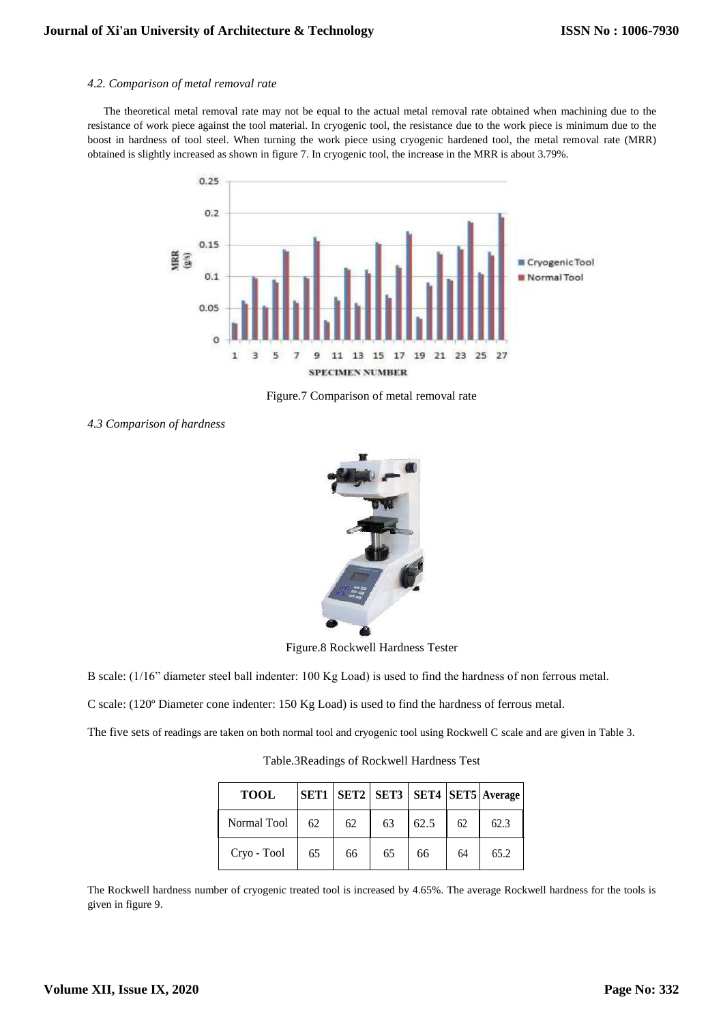#### *4.2. Comparison of metal removal rate*

The theoretical metal removal rate may not be equal to the actual metal removal rate obtained when machining due to the resistance of work piece against the tool material. In cryogenic tool, the resistance due to the work piece is minimum due to the boost in hardness of tool steel. When turning the work piece using cryogenic hardened tool, the metal removal rate (MRR) obtained is slightly increased as shown in figure 7. In cryogenic tool, the increase in the MRR is about 3.79%.



Figure.7 Comparison of metal removal rate

*4.3 Comparison of hardness*



Figure.8 Rockwell Hardness Tester

B scale: (1/16" diameter steel ball indenter: 100 Kg Load) is used to find the hardness of non ferrous metal.

C scale: (120º Diameter cone indenter: 150 Kg Load) is used to find the hardness of ferrous metal.

The five sets of readings are taken on both normal tool and cryogenic tool using Rockwell C scale and are given in Table 3.

Table.3Readings of Rockwell Hardness Test

| <b>TOOL</b> |    |    |    |      |    | SET1   SET2   SET3   SET4   SET5   Average |
|-------------|----|----|----|------|----|--------------------------------------------|
| Normal Tool | 62 | 62 | 63 | 62.5 | 62 | 62.3                                       |
| Cryo - Tool | 65 | 66 | 65 | 66   | 64 | 65.2                                       |

The Rockwell hardness number of cryogenic treated tool is increased by 4.65%. The average Rockwell hardness for the tools is given in figure 9.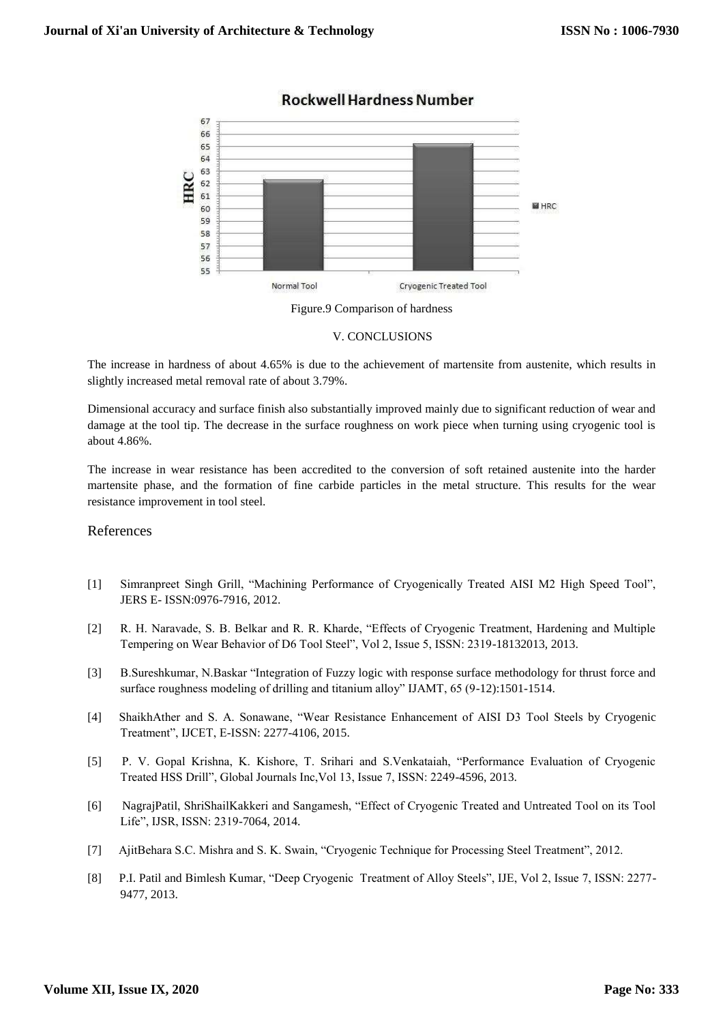

## **Rockwell Hardness Number**



#### V. CONCLUSIONS

The increase in hardness of about 4.65% is due to the achievement of martensite from austenite, which results in slightly increased metal removal rate of about 3.79%.

Dimensional accuracy and surface finish also substantially improved mainly due to significant reduction of wear and damage at the tool tip. The decrease in the surface roughness on work piece when turning using cryogenic tool is about 4.86%.

The increase in wear resistance has been accredited to the conversion of soft retained austenite into the harder martensite phase, and the formation of fine carbide particles in the metal structure. This results for the wear resistance improvement in tool steel.

## References

- [1] Simranpreet Singh Grill, "Machining Performance of Cryogenically Treated AISI M2 High Speed Tool", JERS E- ISSN:0976-7916, 2012.
- [2] R. H. Naravade, S. B. Belkar and R. R. Kharde, "Effects of Cryogenic Treatment, Hardening and Multiple Tempering on Wear Behavior of D6 Tool Steel", Vol 2, Issue 5, ISSN: 2319-18132013, 2013.
- [3] B.Sureshkumar, N.Baskar "Integration of Fuzzy logic with response surface methodology for thrust force and surface roughness modeling of drilling and titanium alloy" IJAMT, 65 (9-12):1501-1514.
- [4] ShaikhAther and S. A. Sonawane, "Wear Resistance Enhancement of AISI D3 Tool Steels by Cryogenic Treatment", IJCET, E-ISSN: 2277-4106, 2015.
- [5] P. V. Gopal Krishna, K. Kishore, T. Srihari and S.Venkataiah, "Performance Evaluation of Cryogenic Treated HSS Drill", Global Journals Inc,Vol 13, Issue 7, ISSN: 2249-4596, 2013.
- [6] NagrajPatil, ShriShailKakkeri and Sangamesh, "Effect of Cryogenic Treated and Untreated Tool on its Tool Life", IJSR, ISSN: 2319-7064, 2014.
- [7] AjitBehara S.C. Mishra and S. K. Swain, "Cryogenic Technique for Processing Steel Treatment", 2012.
- [8] P.I. Patil and Bimlesh Kumar, "Deep Cryogenic Treatment of Alloy Steels", IJE, Vol 2, Issue 7, ISSN: 2277- 9477, 2013.